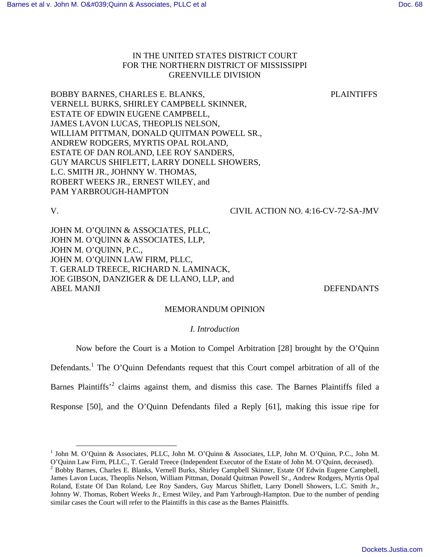# IN THE UNITED STATES DISTRICT COURT FOR THE NORTHERN DISTRICT OF MISSISSIPPI GREENVILLE DIVISION

BOBBY BARNES, CHARLES E. BLANKS, PLAINTIFFS VERNELL BURKS, SHIRLEY CAMPBELL SKINNER, ESTATE OF EDWIN EUGENE CAMPBELL, JAMES LAVON LUCAS, THEOPLIS NELSON, WILLIAM PITTMAN, DONALD QUITMAN POWELL SR., ANDREW RODGERS, MYRTIS OPAL ROLAND, ESTATE OF DAN ROLAND, LEE ROY SANDERS, GUY MARCUS SHIFLETT, LARRY DONELL SHOWERS, L.C. SMITH JR., JOHNNY W. THOMAS, ROBERT WEEKS JR., ERNEST WILEY, and PAM YARBROUGH-HAMPTON

# V. CIVIL ACTION NO. 4:16-CV-72-SA-JMV

JOHN M. O'QUINN & ASSOCIATES, PLLC, JOHN M. O'QUINN & ASSOCIATES, LLP, JOHN M. O'QUINN, P.C., JOHN M. O'QUINN LAW FIRM, PLLC, T. GERALD TREECE, RICHARD N. LAMINACK, JOE GIBSON, DANZIGER & DE LLANO, LLP, and ABEL MANJI DEFENDANTS

# MEMORANDUM OPINION

# *I. Introduction*

Now before the Court is a Motion to Compel Arbitration [28] brought by the O'Quinn

Defendants.<sup>1</sup> The O'Quinn Defendants request that this Court compel arbitration of all of the

Barnes Plaintiffs<sup>,2</sup> claims against them, and dismiss this case. The Barnes Plaintiffs filed a

Response [50], and the O'Quinn Defendants filed a Reply [61], making this issue ripe for

 1 John M. O'Quinn & Associates, PLLC, John M. O'Quinn & Associates, LLP, John M. O'Quinn, P.C., John M.

O'Quinn Law Firm, PLLC., T. Gerald Treece (Independent Executor of the Estate of John M. O'Quinn, deceased). <sup>2</sup> Bobby Barnes, Charles E. Blanks, Vernell Burks, Shirley Campbell Skinner, Estate Of Edwin Eugene Campbell, James Lavon Lucas, Theoplis Nelson, William Pittman, Donald Quitman Powell Sr., Andrew Rodgers, Myrtis Opal Roland, Estate Of Dan Roland, Lee Roy Sanders, Guy Marcus Shiflett, Larry Donell Showers, L.C. Smith Jr., Johnny W. Thomas, Robert Weeks Jr., Ernest Wiley, and Pam Yarbrough-Hampton. Due to the number of pending similar cases the Court will refer to the Plaintiffs in this case as the Barnes Plainitffs.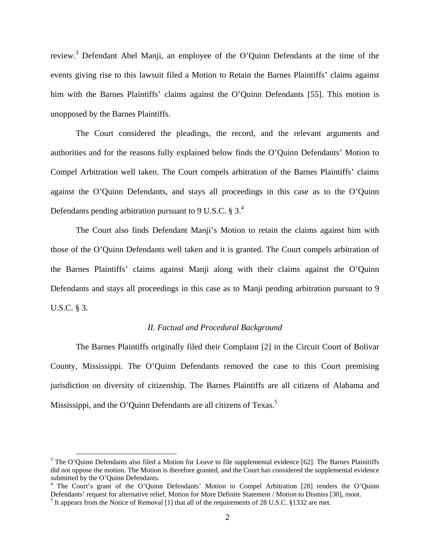review.<sup>3</sup> Defendant Abel Manji, an employee of the O'Quinn Defendants at the time of the events giving rise to this lawsuit filed a Motion to Retain the Barnes Plaintiffs' claims against him with the Barnes Plaintiffs' claims against the O'Quinn Defendants [55]. This motion is unopposed by the Barnes Plaintiffs.

The Court considered the pleadings, the record, and the relevant arguments and authorities and for the reasons fully explained below finds the O'Quinn Defendants' Motion to Compel Arbitration well taken. The Court compels arbitration of the Barnes Plaintiffs' claims against the O'Quinn Defendants, and stays all proceedings in this case as to the O'Quinn Defendants pending arbitration pursuant to 9 U.S.C. § 3. $^{4}$ 

The Court also finds Defendant Manji's Motion to retain the claims against him with those of the O'Quinn Defendants well taken and it is granted. The Court compels arbitration of the Barnes Plaintiffs' claims against Manji along with their claims against the O'Quinn Defendants and stays all proceedings in this case as to Manji pending arbitration pursuant to 9 U.S.C. § 3.

## *II. Factual and Procedural Background*

The Barnes Plaintiffs originally filed their Complaint [2] in the Circuit Court of Bolivar County, Mississippi. The O'Quinn Defendants removed the case to this Court premising jurisdiction on diversity of citizenship. The Barnes Plaintiffs are all citizens of Alabama and Mississippi, and the O'Quinn Defendants are all citizens of Texas.<sup>5</sup>

<u>.</u>

 $3$  The O'Quinn Defendants also filed a Motion for Leave to file supplemental evidence [62]. The Barnes Plainitiffs did not oppose the motion. The Motion is therefore granted, and the Court has considered the supplemental evidence submitted by the O'Quinn Defendants.

<sup>&</sup>lt;sup>4</sup> The Court's grant of the O'Quinn Defendants' Motion to Compel Arbitration [28] renders the O'Quinn Defendants' request for alternative relief, Motion for More Definite Statement / Motion to Dismiss [30], moot.

<sup>&</sup>lt;sup>5</sup> It appears from the Notice of Removal [1] that all of the requirements of 28 U.S.C. §1332 are met.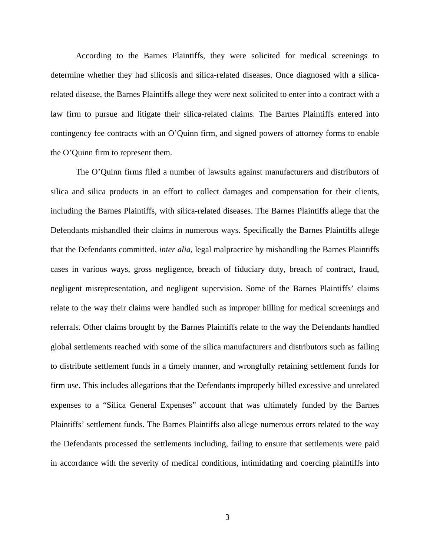According to the Barnes Plaintiffs, they were solicited for medical screenings to determine whether they had silicosis and silica-related diseases. Once diagnosed with a silicarelated disease, the Barnes Plaintiffs allege they were next solicited to enter into a contract with a law firm to pursue and litigate their silica-related claims. The Barnes Plaintiffs entered into contingency fee contracts with an O'Quinn firm, and signed powers of attorney forms to enable the O'Quinn firm to represent them.

The O'Quinn firms filed a number of lawsuits against manufacturers and distributors of silica and silica products in an effort to collect damages and compensation for their clients, including the Barnes Plaintiffs, with silica-related diseases. The Barnes Plaintiffs allege that the Defendants mishandled their claims in numerous ways. Specifically the Barnes Plaintiffs allege that the Defendants committed, *inter alia*, legal malpractice by mishandling the Barnes Plaintiffs cases in various ways, gross negligence, breach of fiduciary duty, breach of contract, fraud, negligent misrepresentation, and negligent supervision. Some of the Barnes Plaintiffs' claims relate to the way their claims were handled such as improper billing for medical screenings and referrals. Other claims brought by the Barnes Plaintiffs relate to the way the Defendants handled global settlements reached with some of the silica manufacturers and distributors such as failing to distribute settlement funds in a timely manner, and wrongfully retaining settlement funds for firm use. This includes allegations that the Defendants improperly billed excessive and unrelated expenses to a "Silica General Expenses" account that was ultimately funded by the Barnes Plaintiffs' settlement funds. The Barnes Plaintiffs also allege numerous errors related to the way the Defendants processed the settlements including, failing to ensure that settlements were paid in accordance with the severity of medical conditions, intimidating and coercing plaintiffs into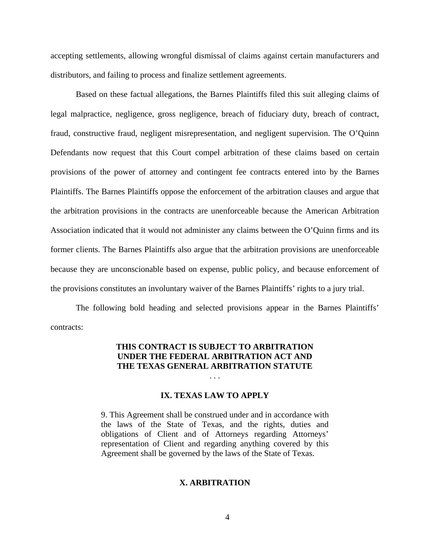accepting settlements, allowing wrongful dismissal of claims against certain manufacturers and distributors, and failing to process and finalize settlement agreements.

Based on these factual allegations, the Barnes Plaintiffs filed this suit alleging claims of legal malpractice, negligence, gross negligence, breach of fiduciary duty, breach of contract, fraud, constructive fraud, negligent misrepresentation, and negligent supervision. The O'Quinn Defendants now request that this Court compel arbitration of these claims based on certain provisions of the power of attorney and contingent fee contracts entered into by the Barnes Plaintiffs. The Barnes Plaintiffs oppose the enforcement of the arbitration clauses and argue that the arbitration provisions in the contracts are unenforceable because the American Arbitration Association indicated that it would not administer any claims between the O'Quinn firms and its former clients. The Barnes Plaintiffs also argue that the arbitration provisions are unenforceable because they are unconscionable based on expense, public policy, and because enforcement of the provisions constitutes an involuntary waiver of the Barnes Plaintiffs' rights to a jury trial.

The following bold heading and selected provisions appear in the Barnes Plaintiffs' contracts:

# **THIS CONTRACT IS SUBJECT TO ARBITRATION UNDER THE FEDERAL ARBITRATION ACT AND THE TEXAS GENERAL ARBITRATION STATUTE**

. . .

### **IX. TEXAS LAW TO APPLY**

9. This Agreement shall be construed under and in accordance with the laws of the State of Texas, and the rights, duties and obligations of Client and of Attorneys regarding Attorneys' representation of Client and regarding anything covered by this Agreement shall be governed by the laws of the State of Texas.

### **X. ARBITRATION**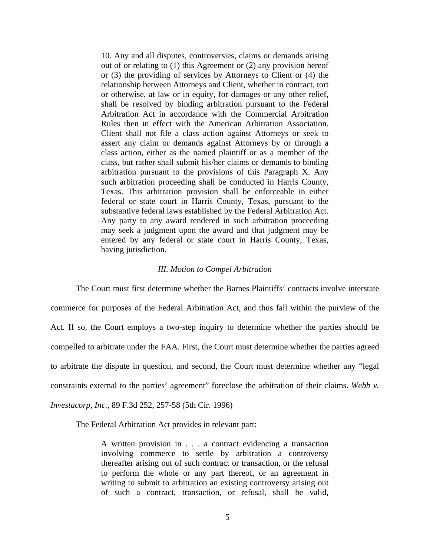10. Any and all disputes, controversies, claims or demands arising out of or relating to (1) this Agreement or (2) any provision hereof or (3) the providing of services by Attorneys to Client or (4) the relationship between Attorneys and Client, whether in contract, tort or otherwise, at law or in equity, for damages or any other relief, shall be resolved by binding arbitration pursuant to the Federal Arbitration Act in accordance with the Commercial Arbitration Rules then in effect with the American Arbitration Association. Client shall not file a class action against Attorneys or seek to assert any claim or demands against Attorneys by or through a class action, either as the named plaintiff or as a member of the class, but rather shall submit his/her claims or demands to binding arbitration pursuant to the provisions of this Paragraph X. Any such arbitration proceeding shall be conducted in Harris County, Texas. This arbitration provision shall be enforceable in either federal or state court in Harris County, Texas, pursuant to the substantive federal laws established by the Federal Arbitration Act. Any party to any award rendered in such arbitration proceeding may seek a judgment upon the award and that judgment may be entered by any federal or state court in Harris County, Texas, having jurisdiction.

#### *III. Motion to Compel Arbitration*

The Court must first determine whether the Barnes Plaintiffs' contracts involve interstate commerce for purposes of the Federal Arbitration Act, and thus fall within the purview of the Act. If so, the Court employs a two-step inquiry to determine whether the parties should be compelled to arbitrate under the FAA. First, the Court must determine whether the parties agreed to arbitrate the dispute in question, and second, the Court must determine whether any "legal constraints external to the parties' agreement" foreclose the arbitration of their claims. *Webb v. Investacorp, Inc.*, 89 F.3d 252, 257-58 (5th Cir. 1996)

The Federal Arbitration Act provides in relevant part:

A written provision in . . . a contract evidencing a transaction involving commerce to settle by arbitration a controversy thereafter arising out of such contract or transaction, or the refusal to perform the whole or any part thereof, or an agreement in writing to submit to arbitration an existing controversy arising out of such a contract, transaction, or refusal, shall be valid,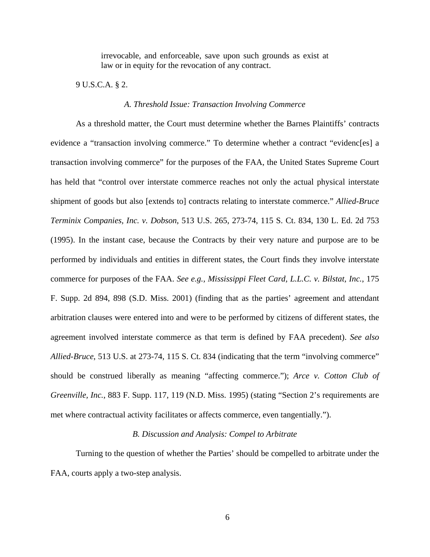irrevocable, and enforceable, save upon such grounds as exist at law or in equity for the revocation of any contract.

9 U.S.C.A. § 2.

# *A. Threshold Issue: Transaction Involving Commerce*

As a threshold matter, the Court must determine whether the Barnes Plaintiffs' contracts evidence a "transaction involving commerce." To determine whether a contract "evidenc[es] a transaction involving commerce" for the purposes of the FAA, the United States Supreme Court has held that "control over interstate commerce reaches not only the actual physical interstate shipment of goods but also [extends to] contracts relating to interstate commerce." *Allied-Bruce Terminix Companies, Inc. v. Dobson*, 513 U.S. 265, 273-74, 115 S. Ct. 834, 130 L. Ed. 2d 753 (1995). In the instant case, because the Contracts by their very nature and purpose are to be performed by individuals and entities in different states, the Court finds they involve interstate commerce for purposes of the FAA. *See e.g., Mississippi Fleet Card, L.L.C. v. Bilstat, Inc.*, 175 F. Supp. 2d 894, 898 (S.D. Miss. 2001) (finding that as the parties' agreement and attendant arbitration clauses were entered into and were to be performed by citizens of different states, the agreement involved interstate commerce as that term is defined by FAA precedent). *See also Allied-Bruce*, 513 U.S. at 273-74, 115 S. Ct. 834 (indicating that the term "involving commerce" should be construed liberally as meaning "affecting commerce."); *Arce v. Cotton Club of Greenville, Inc.*, 883 F. Supp. 117, 119 (N.D. Miss. 1995) (stating "Section 2's requirements are met where contractual activity facilitates or affects commerce, even tangentially.").

# *B. Discussion and Analysis: Compel to Arbitrate*

Turning to the question of whether the Parties' should be compelled to arbitrate under the FAA, courts apply a two-step analysis.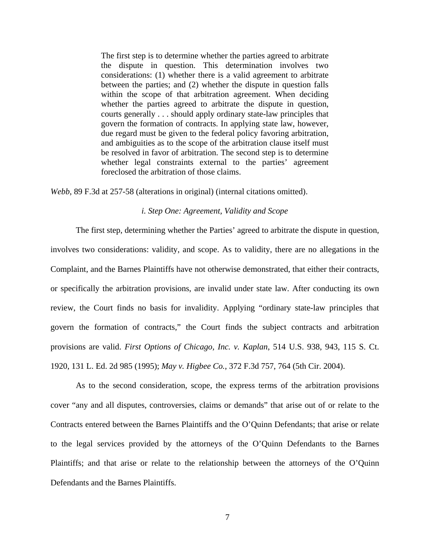The first step is to determine whether the parties agreed to arbitrate the dispute in question. This determination involves two considerations: (1) whether there is a valid agreement to arbitrate between the parties; and (2) whether the dispute in question falls within the scope of that arbitration agreement. When deciding whether the parties agreed to arbitrate the dispute in question, courts generally . . . should apply ordinary state-law principles that govern the formation of contracts. In applying state law, however, due regard must be given to the federal policy favoring arbitration, and ambiguities as to the scope of the arbitration clause itself must be resolved in favor of arbitration. The second step is to determine whether legal constraints external to the parties' agreement foreclosed the arbitration of those claims.

*Webb*, 89 F.3d at 257-58 (alterations in original) (internal citations omitted).

## *i. Step One: Agreement, Validity and Scope*

The first step, determining whether the Parties' agreed to arbitrate the dispute in question, involves two considerations: validity, and scope. As to validity, there are no allegations in the Complaint, and the Barnes Plaintiffs have not otherwise demonstrated, that either their contracts, or specifically the arbitration provisions, are invalid under state law. After conducting its own review, the Court finds no basis for invalidity. Applying "ordinary state-law principles that govern the formation of contracts," the Court finds the subject contracts and arbitration provisions are valid. *First Options of Chicago, Inc. v. Kaplan*, 514 U.S. 938, 943, 115 S. Ct. 1920, 131 L. Ed. 2d 985 (1995); *May v. Higbee Co.*, 372 F.3d 757, 764 (5th Cir. 2004).

As to the second consideration, scope, the express terms of the arbitration provisions cover "any and all disputes, controversies, claims or demands" that arise out of or relate to the Contracts entered between the Barnes Plaintiffs and the O'Quinn Defendants; that arise or relate to the legal services provided by the attorneys of the O'Quinn Defendants to the Barnes Plaintiffs; and that arise or relate to the relationship between the attorneys of the O'Quinn Defendants and the Barnes Plaintiffs.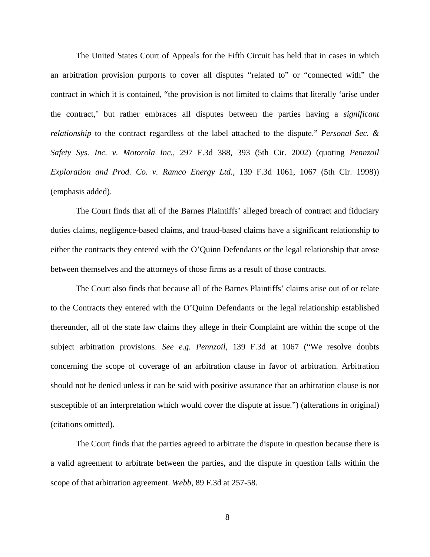The United States Court of Appeals for the Fifth Circuit has held that in cases in which an arbitration provision purports to cover all disputes "related to" or "connected with" the contract in which it is contained, "the provision is not limited to claims that literally 'arise under the contract,' but rather embraces all disputes between the parties having a *significant relationship* to the contract regardless of the label attached to the dispute." *Personal Sec. & Safety Sys. Inc. v. Motorola Inc.*, 297 F.3d 388, 393 (5th Cir. 2002) (quoting *Pennzoil Exploration and Prod. Co. v. Ramco Energy Ltd.*, 139 F.3d 1061, 1067 (5th Cir. 1998)) (emphasis added).

The Court finds that all of the Barnes Plaintiffs' alleged breach of contract and fiduciary duties claims, negligence-based claims, and fraud-based claims have a significant relationship to either the contracts they entered with the O'Quinn Defendants or the legal relationship that arose between themselves and the attorneys of those firms as a result of those contracts.

The Court also finds that because all of the Barnes Plaintiffs' claims arise out of or relate to the Contracts they entered with the O'Quinn Defendants or the legal relationship established thereunder, all of the state law claims they allege in their Complaint are within the scope of the subject arbitration provisions. *See e.g. Pennzoil*, 139 F.3d at 1067 ("We resolve doubts concerning the scope of coverage of an arbitration clause in favor of arbitration. Arbitration should not be denied unless it can be said with positive assurance that an arbitration clause is not susceptible of an interpretation which would cover the dispute at issue.") (alterations in original) (citations omitted).

The Court finds that the parties agreed to arbitrate the dispute in question because there is a valid agreement to arbitrate between the parties, and the dispute in question falls within the scope of that arbitration agreement. *Webb*, 89 F.3d at 257-58.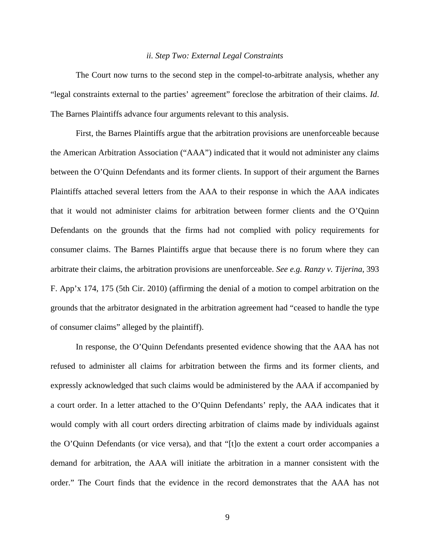#### *ii. Step Two: External Legal Constraints*

The Court now turns to the second step in the compel-to-arbitrate analysis, whether any "legal constraints external to the parties' agreement" foreclose the arbitration of their claims. *Id*. The Barnes Plaintiffs advance four arguments relevant to this analysis.

First, the Barnes Plaintiffs argue that the arbitration provisions are unenforceable because the American Arbitration Association ("AAA") indicated that it would not administer any claims between the O'Quinn Defendants and its former clients. In support of their argument the Barnes Plaintiffs attached several letters from the AAA to their response in which the AAA indicates that it would not administer claims for arbitration between former clients and the O'Quinn Defendants on the grounds that the firms had not complied with policy requirements for consumer claims. The Barnes Plaintiffs argue that because there is no forum where they can arbitrate their claims, the arbitration provisions are unenforceable. *See e.g. Ranzy v. Tijerina*, 393 F. App'x 174, 175 (5th Cir. 2010) (affirming the denial of a motion to compel arbitration on the grounds that the arbitrator designated in the arbitration agreement had "ceased to handle the type of consumer claims" alleged by the plaintiff).

In response, the O'Quinn Defendants presented evidence showing that the AAA has not refused to administer all claims for arbitration between the firms and its former clients, and expressly acknowledged that such claims would be administered by the AAA if accompanied by a court order. In a letter attached to the O'Quinn Defendants' reply, the AAA indicates that it would comply with all court orders directing arbitration of claims made by individuals against the O'Quinn Defendants (or vice versa), and that "[t]o the extent a court order accompanies a demand for arbitration, the AAA will initiate the arbitration in a manner consistent with the order." The Court finds that the evidence in the record demonstrates that the AAA has not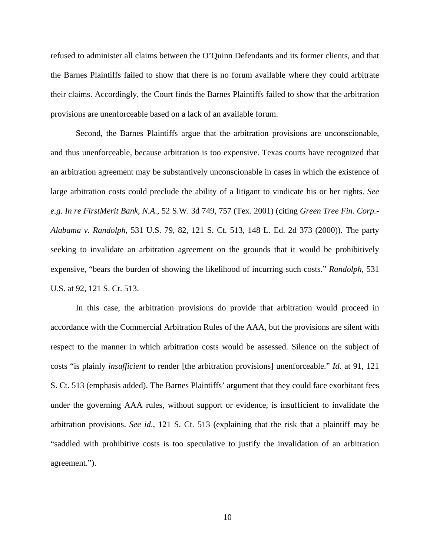refused to administer all claims between the O'Quinn Defendants and its former clients, and that the Barnes Plaintiffs failed to show that there is no forum available where they could arbitrate their claims. Accordingly, the Court finds the Barnes Plaintiffs failed to show that the arbitration provisions are unenforceable based on a lack of an available forum.

Second, the Barnes Plaintiffs argue that the arbitration provisions are unconscionable, and thus unenforceable, because arbitration is too expensive. Texas courts have recognized that an arbitration agreement may be substantively unconscionable in cases in which the existence of large arbitration costs could preclude the ability of a litigant to vindicate his or her rights. *See e.g. In re FirstMerit Bank, N.A.*, 52 S.W. 3d 749, 757 (Tex. 2001) (citing *Green Tree Fin. Corp.- Alabama v. Randolph*, 531 U.S. 79, 82, 121 S. Ct. 513, 148 L. Ed. 2d 373 (2000)). The party seeking to invalidate an arbitration agreement on the grounds that it would be prohibitively expensive, "bears the burden of showing the likelihood of incurring such costs." *Randolph*, 531 U.S. at 92, 121 S. Ct. 513.

In this case, the arbitration provisions do provide that arbitration would proceed in accordance with the Commercial Arbitration Rules of the AAA, but the provisions are silent with respect to the manner in which arbitration costs would be assessed. Silence on the subject of costs "is plainly *insufficient* to render [the arbitration provisions] unenforceable." *Id*. at 91, 121 S. Ct. 513 (emphasis added). The Barnes Plaintiffs' argument that they could face exorbitant fees under the governing AAA rules, without support or evidence, is insufficient to invalidate the arbitration provisions. *See id*., 121 S. Ct. 513 (explaining that the risk that a plaintiff may be "saddled with prohibitive costs is too speculative to justify the invalidation of an arbitration agreement.").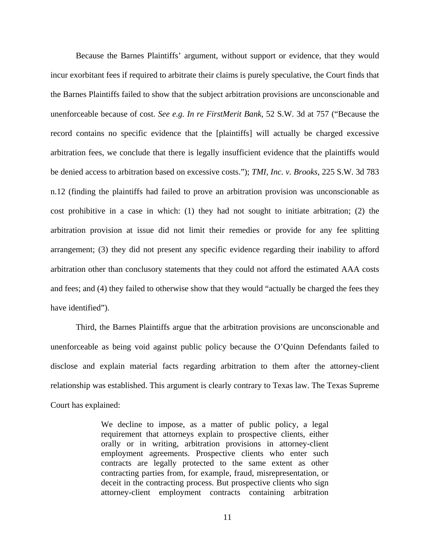Because the Barnes Plaintiffs' argument, without support or evidence, that they would incur exorbitant fees if required to arbitrate their claims is purely speculative, the Court finds that the Barnes Plaintiffs failed to show that the subject arbitration provisions are unconscionable and unenforceable because of cost. *See e.g. In re FirstMerit Bank*, 52 S.W. 3d at 757 ("Because the record contains no specific evidence that the [plaintiffs] will actually be charged excessive arbitration fees, we conclude that there is legally insufficient evidence that the plaintiffs would be denied access to arbitration based on excessive costs."); *TMI, Inc. v. Brooks*, 225 S.W. 3d 783 n.12 (finding the plaintiffs had failed to prove an arbitration provision was unconscionable as cost prohibitive in a case in which: (1) they had not sought to initiate arbitration; (2) the arbitration provision at issue did not limit their remedies or provide for any fee splitting arrangement; (3) they did not present any specific evidence regarding their inability to afford arbitration other than conclusory statements that they could not afford the estimated AAA costs and fees; and (4) they failed to otherwise show that they would "actually be charged the fees they have identified".

Third, the Barnes Plaintiffs argue that the arbitration provisions are unconscionable and unenforceable as being void against public policy because the O'Quinn Defendants failed to disclose and explain material facts regarding arbitration to them after the attorney-client relationship was established. This argument is clearly contrary to Texas law. The Texas Supreme Court has explained:

> We decline to impose, as a matter of public policy, a legal requirement that attorneys explain to prospective clients, either orally or in writing, arbitration provisions in attorney-client employment agreements. Prospective clients who enter such contracts are legally protected to the same extent as other contracting parties from, for example, fraud, misrepresentation, or deceit in the contracting process. But prospective clients who sign attorney-client employment contracts containing arbitration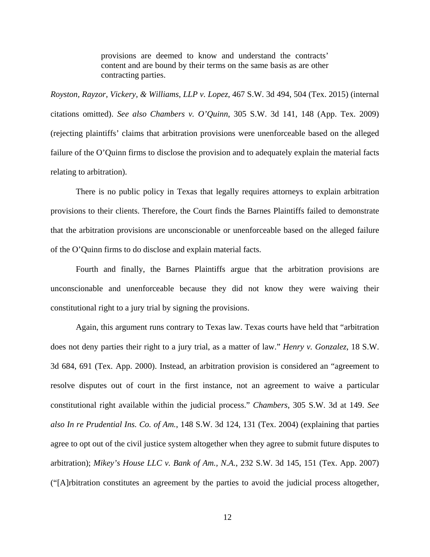provisions are deemed to know and understand the contracts' content and are bound by their terms on the same basis as are other contracting parties.

*Royston, Rayzor, Vickery, & Williams, LLP v. Lopez*, 467 S.W. 3d 494, 504 (Tex. 2015) (internal citations omitted). *See also Chambers v. O'Quinn*, 305 S.W. 3d 141, 148 (App. Tex. 2009) (rejecting plaintiffs' claims that arbitration provisions were unenforceable based on the alleged failure of the O'Quinn firms to disclose the provision and to adequately explain the material facts relating to arbitration).

There is no public policy in Texas that legally requires attorneys to explain arbitration provisions to their clients. Therefore, the Court finds the Barnes Plaintiffs failed to demonstrate that the arbitration provisions are unconscionable or unenforceable based on the alleged failure of the O'Quinn firms to do disclose and explain material facts.

Fourth and finally, the Barnes Plaintiffs argue that the arbitration provisions are unconscionable and unenforceable because they did not know they were waiving their constitutional right to a jury trial by signing the provisions.

Again, this argument runs contrary to Texas law. Texas courts have held that "arbitration does not deny parties their right to a jury trial, as a matter of law." *Henry v. Gonzalez*, 18 S.W. 3d 684, 691 (Tex. App. 2000). Instead, an arbitration provision is considered an "agreement to resolve disputes out of court in the first instance, not an agreement to waive a particular constitutional right available within the judicial process." *Chambers*, 305 S.W. 3d at 149. *See also In re Prudential Ins. Co. of Am.*, 148 S.W. 3d 124, 131 (Tex. 2004) (explaining that parties agree to opt out of the civil justice system altogether when they agree to submit future disputes to arbitration); *Mikey's House LLC v. Bank of Am., N.A.*, 232 S.W. 3d 145, 151 (Tex. App. 2007) ("[A]rbitration constitutes an agreement by the parties to avoid the judicial process altogether,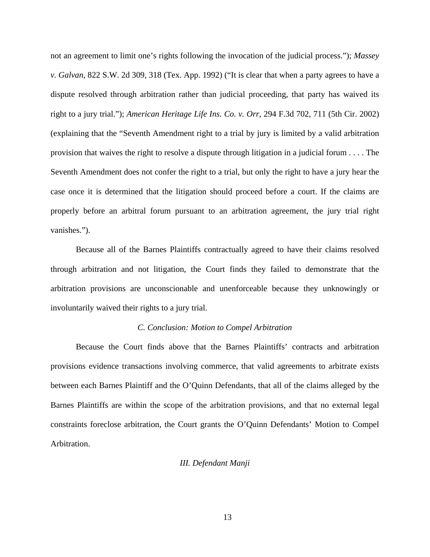not an agreement to limit one's rights following the invocation of the judicial process."); *Massey v. Galvan*, 822 S.W. 2d 309, 318 (Tex. App. 1992) ("It is clear that when a party agrees to have a dispute resolved through arbitration rather than judicial proceeding, that party has waived its right to a jury trial."); *American Heritage Life Ins. Co. v. Orr*, 294 F.3d 702, 711 (5th Cir. 2002) (explaining that the "Seventh Amendment right to a trial by jury is limited by a valid arbitration provision that waives the right to resolve a dispute through litigation in a judicial forum . . . . The Seventh Amendment does not confer the right to a trial, but only the right to have a jury hear the case once it is determined that the litigation should proceed before a court. If the claims are properly before an arbitral forum pursuant to an arbitration agreement, the jury trial right vanishes.").

Because all of the Barnes Plaintiffs contractually agreed to have their claims resolved through arbitration and not litigation, the Court finds they failed to demonstrate that the arbitration provisions are unconscionable and unenforceable because they unknowingly or involuntarily waived their rights to a jury trial.

## *C. Conclusion: Motion to Compel Arbitration*

Because the Court finds above that the Barnes Plaintiffs' contracts and arbitration provisions evidence transactions involving commerce, that valid agreements to arbitrate exists between each Barnes Plaintiff and the O'Quinn Defendants, that all of the claims alleged by the Barnes Plaintiffs are within the scope of the arbitration provisions, and that no external legal constraints foreclose arbitration, the Court grants the O'Quinn Defendants' Motion to Compel Arbitration.

# *III. Defendant Manji*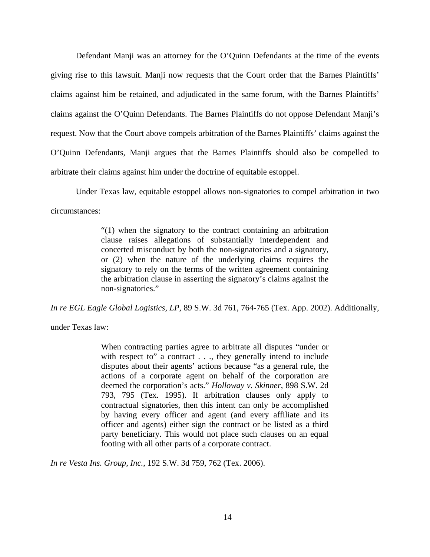Defendant Manji was an attorney for the O'Quinn Defendants at the time of the events giving rise to this lawsuit. Manji now requests that the Court order that the Barnes Plaintiffs' claims against him be retained, and adjudicated in the same forum, with the Barnes Plaintiffs' claims against the O'Quinn Defendants. The Barnes Plaintiffs do not oppose Defendant Manji's request. Now that the Court above compels arbitration of the Barnes Plaintiffs' claims against the O'Quinn Defendants, Manji argues that the Barnes Plaintiffs should also be compelled to arbitrate their claims against him under the doctrine of equitable estoppel.

Under Texas law, equitable estoppel allows non-signatories to compel arbitration in two circumstances:

> "(1) when the signatory to the contract containing an arbitration clause raises allegations of substantially interdependent and concerted misconduct by both the non-signatories and a signatory, or (2) when the nature of the underlying claims requires the signatory to rely on the terms of the written agreement containing the arbitration clause in asserting the signatory's claims against the non-signatories."

*In re EGL Eagle Global Logistics, LP*, 89 S.W. 3d 761, 764-765 (Tex. App. 2002). Additionally,

under Texas law:

When contracting parties agree to arbitrate all disputes "under or with respect to" a contract . . ., they generally intend to include disputes about their agents' actions because "as a general rule, the actions of a corporate agent on behalf of the corporation are deemed the corporation's acts." *Holloway v. Skinner*, 898 S.W. 2d 793, 795 (Tex. 1995). If arbitration clauses only apply to contractual signatories, then this intent can only be accomplished by having every officer and agent (and every affiliate and its officer and agents) either sign the contract or be listed as a third party beneficiary. This would not place such clauses on an equal footing with all other parts of a corporate contract.

*In re Vesta Ins. Group, Inc.*, 192 S.W. 3d 759, 762 (Tex. 2006).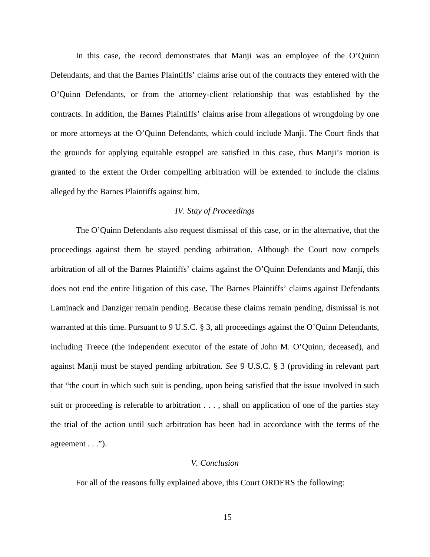In this case, the record demonstrates that Manji was an employee of the O'Quinn Defendants, and that the Barnes Plaintiffs' claims arise out of the contracts they entered with the O'Quinn Defendants, or from the attorney-client relationship that was established by the contracts. In addition, the Barnes Plaintiffs' claims arise from allegations of wrongdoing by one or more attorneys at the O'Quinn Defendants, which could include Manji. The Court finds that the grounds for applying equitable estoppel are satisfied in this case, thus Manji's motion is granted to the extent the Order compelling arbitration will be extended to include the claims alleged by the Barnes Plaintiffs against him.

# *IV. Stay of Proceedings*

The O'Quinn Defendants also request dismissal of this case, or in the alternative, that the proceedings against them be stayed pending arbitration. Although the Court now compels arbitration of all of the Barnes Plaintiffs' claims against the O'Quinn Defendants and Manji, this does not end the entire litigation of this case. The Barnes Plaintiffs' claims against Defendants Laminack and Danziger remain pending. Because these claims remain pending, dismissal is not warranted at this time. Pursuant to 9 U.S.C. § 3, all proceedings against the O'Quinn Defendants, including Treece (the independent executor of the estate of John M. O'Quinn, deceased), and against Manji must be stayed pending arbitration. *See* 9 U.S.C. § 3 (providing in relevant part that "the court in which such suit is pending, upon being satisfied that the issue involved in such suit or proceeding is referable to arbitration . . . , shall on application of one of the parties stay the trial of the action until such arbitration has been had in accordance with the terms of the agreement . . .").

# *V. Conclusion*

For all of the reasons fully explained above, this Court ORDERS the following: